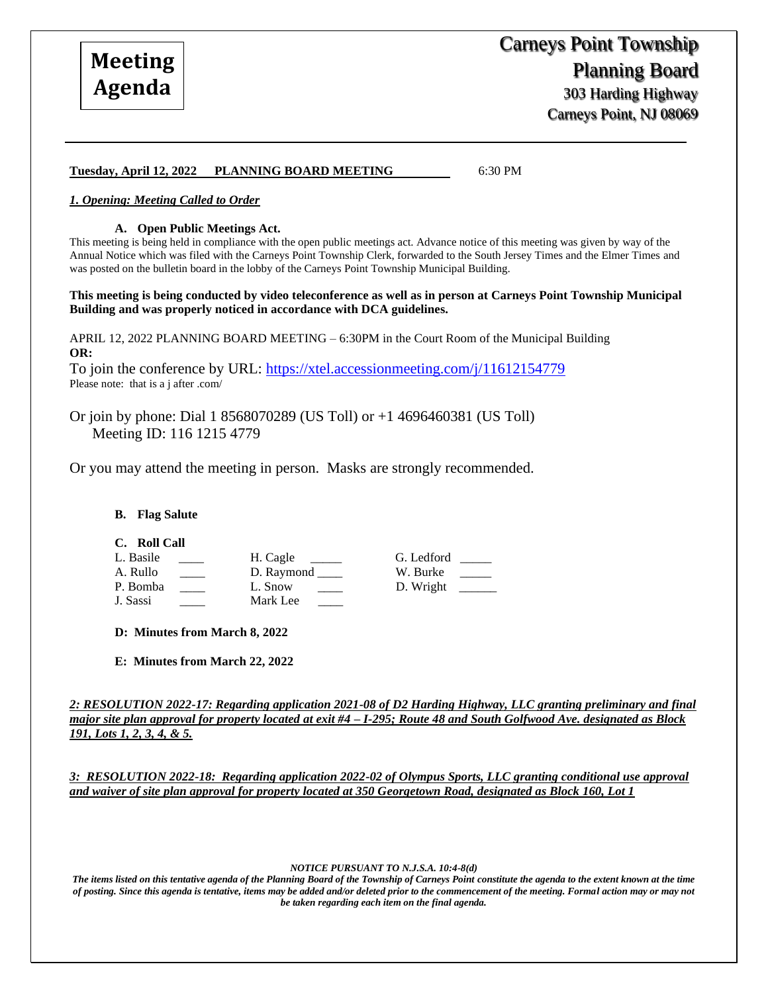Carneys Point, NJ 08069

## **Tuesday, April 12, 2022 PLANNING BOARD MEETING** 6:30 PM

# *1. Opening: Meeting Called to Order*

#### **A. Open Public Meetings Act.**

This meeting is being held in compliance with the open public meetings act. Advance notice of this meeting was given by way of the Annual Notice which was filed with the Carneys Point Township Clerk, forwarded to the South Jersey Times and the Elmer Times and was posted on the bulletin board in the lobby of the Carneys Point Township Municipal Building.

**This meeting is being conducted by video teleconference as well as in person at Carneys Point Township Municipal Building and was properly noticed in accordance with DCA guidelines.**

APRIL 12, 2022 PLANNING BOARD MEETING – 6:30PM in the Court Room of the Municipal Building **OR:**

To join the conference by URL:<https://xtel.accessionmeeting.com/j/11612154779> Please note: that is a j after .com/

Or join by phone: Dial 1 8568070289 (US Toll) or +1 4696460381 (US Toll) Meeting ID: 116 1215 4779

Or you may attend the meeting in person. Masks are strongly recommended.

## **B. Flag Salute**

| C. | <b>Roll Call</b> |
|----|------------------|
|    |                  |

| L. Basile | H. Cagle   | G. Ledford |
|-----------|------------|------------|
| A. Rullo  | D. Raymond | W. Burke   |
| P. Bomba  | L. Snow    | D. Wright  |
| J. Sassi  | Mark Lee   |            |

**D: Minutes from March 8, 2022** 

**E: Minutes from March 22, 2022** 

*2: RESOLUTION 2022-17: Regarding application 2021-08 of D2 Harding Highway, LLC granting preliminary and final major site plan approval for property located at exit #4 – I-295; Route 48 and South Golfwood Ave. designated as Block 191, Lots 1, 2, 3, 4, & 5.*

*3: RESOLUTION 2022-18: Regarding application 2022-02 of Olympus Sports, LLC granting conditional use approval and waiver of site plan approval for property located at 350 Georgetown Road, designated as Block 160, Lot 1* 

*NOTICE PURSUANT TO N.J.S.A. 10:4-8(d)*

*The items listed on this tentative agenda of the Planning Board of the Township of Carneys Point constitute the agenda to the extent known at the time of posting. Since this agenda is tentative, items may be added and/or deleted prior to the commencement of the meeting. Formal action may or may not be taken regarding each item on the final agenda.*